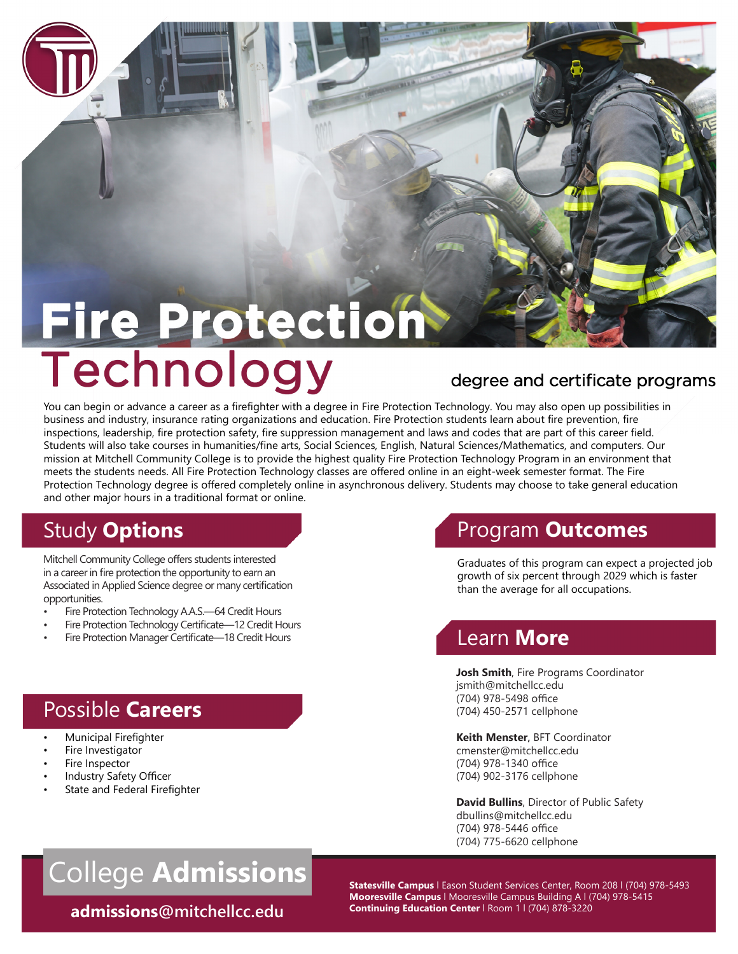# **Fire Protection**

You can begin or advance a career as a firefighter with a degree in Fire Protection Technology. You may also open up possibilities in business and industry, insurance rating organizations and education. Fire Protection students learn about fire prevention, fire inspections, leadership, fire protection safety, fire suppression management and laws and codes that are part of this career field. Students will also take courses in humanities/fine arts, Social Sciences, English, Natural Sciences/Mathematics, and computers. Our mission at Mitchell Community College is to provide the highest quality Fire Protection Technology Program in an environment that meets the students needs. All Fire Protection Technology classes are offered online in an eight-week semester format. The Fire Protection Technology degree is offered completely online in asynchronous delivery. Students may choose to take general education and other major hours in a traditional format or online.

## **Study Options Program Outcomes**

Mitchell Community College offers students interested in a career in fire protection the opportunity to earn an Associated in Applied Science degree or many certification opportunities.

- Fire Protection Technology A.A.S.—64 Credit Hours
- Fire Protection Technology Certificate-12 Credit Hours
- Fire Protection Manager Certificate—18 Credit Hours

Graduates of this program can expect a projected job growth of six percent through 2029 which is faster than the average for all occupations.

#### Learn **More**

**Josh Smith**, Fire Programs Coordinator [jsmith@mitchellcc.edu](mailto:jsmith@mitchellcc.edu)  (704) 978-5498 office (704) 450-2571 cellphone

**Keith Menster,** BFT Coordinator [cmenster@mitchellcc.edu](mailto:cmenster@mitchellcc.edu) (704) 978-1340 office (704) 902-3176 cellphone

**David Bullins**, Director of Public Safety [dbullins@mitchellcc.edu](mailto:dbullins@mitchellcc.edu)  (704) 978-5446 office (704) 775-6620 cellphone

#### Fire Inspector Industry Safety Officer

State and Federal Firefighter

Possible **Careers** 

• Municipal Firefighter Fire Investigator

## College **Admissions**<br>Statesville Campus | Eason Student Services Center, Room 208 | (704) 978-5493

**Continuing Education Center** l Room 1 l (704) 878-3220 **admissions[@mitchellcc.edu](mailto:admissions@mitchellcc.edu)** 

**Mooresville Campus** l Mooresville Campus Building A l (704) 978-5415